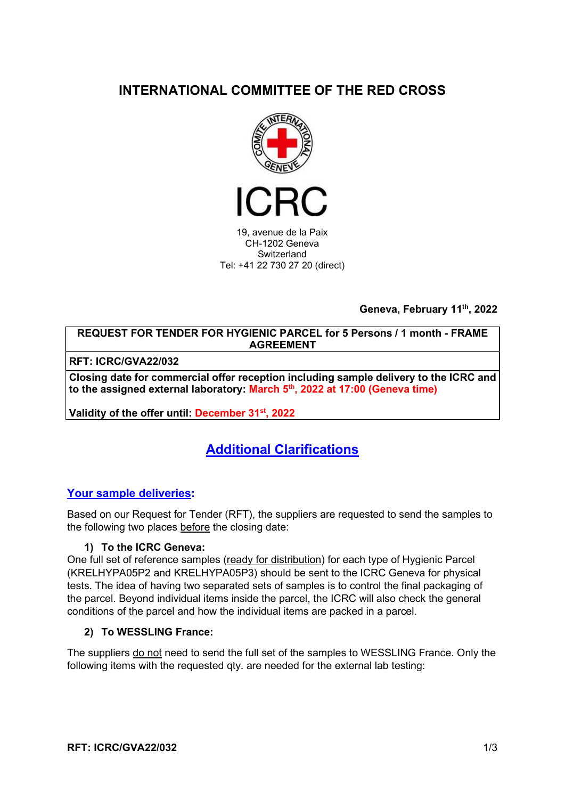# INTERNATIONAL COMMITTEE OF THE RED CROSS



19, avenue de la Paix CH-1202 Geneva **Switzerland** Tel: +41 22 730 27 20 (direct)

Geneva, February 11th, 2022

REQUEST FOR TENDER FOR HYGIENIC PARCEL for 5 Persons / 1 month - FRAME AGREEMENT

RFT: ICRC/GVA22/032

Closing date for commercial offer reception including sample delivery to the ICRC and to the assigned external laboratory: March 5<sup>th</sup>, 2022 at 17:00 (Geneva time)

Validity of the offer until: December 31<sup>st</sup>, 2022

# Additional Clarifications

### Your sample deliveries:

Based on our Request for Tender (RFT), the suppliers are requested to send the samples to the following two places before the closing date:

#### 1) To the ICRC Geneva:

One full set of reference samples (ready for distribution) for each type of Hygienic Parcel (KRELHYPA05P2 and KRELHYPA05P3) should be sent to the ICRC Geneva for physical tests. The idea of having two separated sets of samples is to control the final packaging of the parcel. Beyond individual items inside the parcel, the ICRC will also check the general conditions of the parcel and how the individual items are packed in a parcel.

#### 2) To WESSLING France:

The suppliers do not need to send the full set of the samples to WESSLING France. Only the following items with the requested aty, are needed for the external lab testing: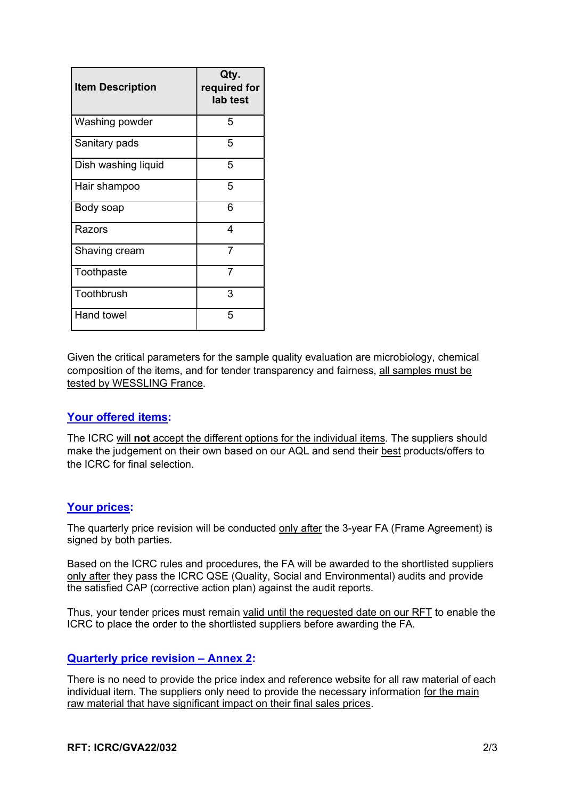| <b>Item Description</b> | Qty.<br>required for<br>lab test |
|-------------------------|----------------------------------|
| Washing powder          | 5                                |
| Sanitary pads           | 5                                |
| Dish washing liquid     | 5                                |
| Hair shampoo            | 5                                |
| Body soap               | 6                                |
| Razors                  | 4                                |
| Shaving cream           | $\overline{7}$                   |
| Toothpaste              | 7                                |
| Toothbrush              | 3                                |
| <b>Hand towel</b>       | 5                                |

Given the critical parameters for the sample quality evaluation are microbiology, chemical composition of the items, and for tender transparency and fairness, all samples must be tested by WESSLING France.

### Your offered items:

The ICRC will not accept the different options for the individual items. The suppliers should make the judgement on their own based on our AQL and send their best products/offers to the ICRC for final selection.

#### Your prices:

The quarterly price revision will be conducted only after the 3-year FA (Frame Agreement) is signed by both parties.

Based on the ICRC rules and procedures, the FA will be awarded to the shortlisted suppliers only after they pass the ICRC QSE (Quality, Social and Environmental) audits and provide the satisfied CAP (corrective action plan) against the audit reports.

Thus, your tender prices must remain valid until the requested date on our RFT to enable the ICRC to place the order to the shortlisted suppliers before awarding the FA.

#### Quarterly price revision – Annex 2:

There is no need to provide the price index and reference website for all raw material of each individual item. The suppliers only need to provide the necessary information for the main raw material that have significant impact on their final sales prices.